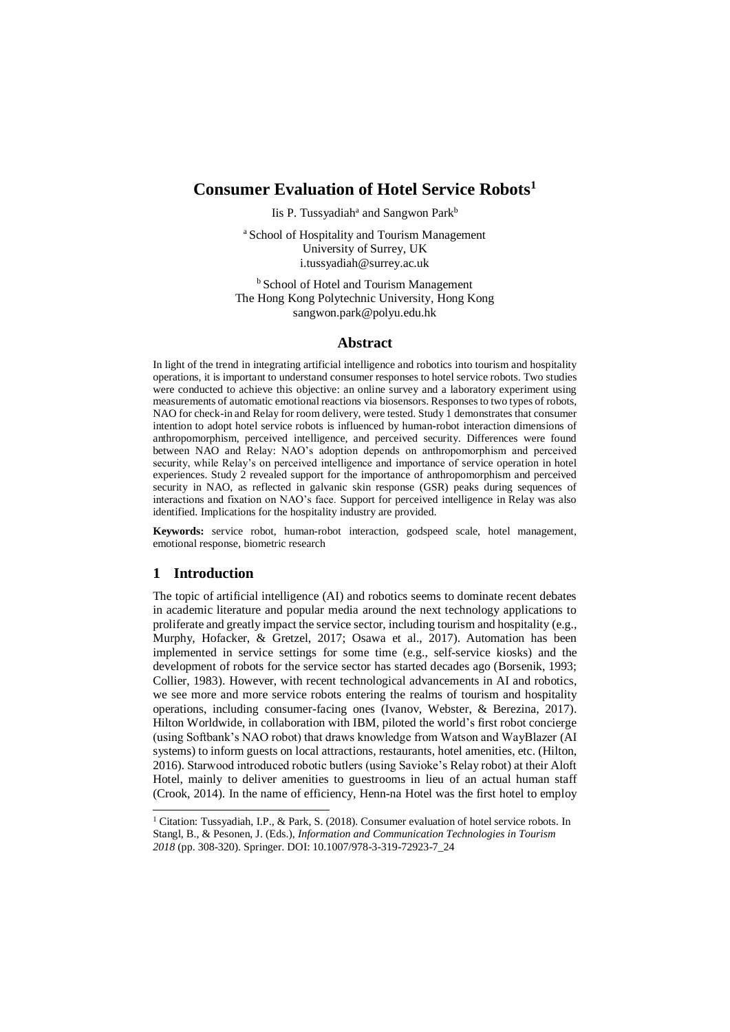# **Consumer Evaluation of Hotel Service Robots<sup>1</sup>**

Iis P. Tussyadiah<sup>a</sup> and Sangwon Park<sup>b</sup>

<sup>a</sup> School of Hospitality and Tourism Management University of Surrey, UK i.tussyadiah@surrey.ac.uk

**b** School of Hotel and Tourism Management The Hong Kong Polytechnic University, Hong Kong sangwon.park@polyu.edu.hk

### **Abstract**

In light of the trend in integrating artificial intelligence and robotics into tourism and hospitality operations, it is important to understand consumer responses to hotel service robots. Two studies were conducted to achieve this objective: an online survey and a laboratory experiment using measurements of automatic emotional reactions via biosensors. Responses to two types of robots, NAO for check-in and Relay for room delivery, were tested. Study 1 demonstrates that consumer intention to adopt hotel service robots is influenced by human-robot interaction dimensions of anthropomorphism, perceived intelligence, and perceived security. Differences were found between NAO and Relay: NAO's adoption depends on anthropomorphism and perceived security, while Relay's on perceived intelligence and importance of service operation in hotel experiences. Study 2 revealed support for the importance of anthropomorphism and perceived security in NAO, as reflected in galvanic skin response (GSR) peaks during sequences of interactions and fixation on NAO's face. Support for perceived intelligence in Relay was also identified. Implications for the hospitality industry are provided.

**Keywords:** service robot, human-robot interaction, godspeed scale, hotel management, emotional response, biometric research

## **1 Introduction**

-

The topic of artificial intelligence (AI) and robotics seems to dominate recent debates in academic literature and popular media around the next technology applications to proliferate and greatly impact the service sector, including tourism and hospitality (e.g., Murphy, Hofacker, & Gretzel, 2017; Osawa et al., 2017). Automation has been implemented in service settings for some time (e.g., self-service kiosks) and the development of robots for the service sector has started decades ago (Borsenik, 1993; Collier, 1983). However, with recent technological advancements in AI and robotics, we see more and more service robots entering the realms of tourism and hospitality operations, including consumer-facing ones (Ivanov, Webster, & Berezina, 2017). Hilton Worldwide, in collaboration with IBM, piloted the world's first robot concierge (using Softbank's NAO robot) that draws knowledge from Watson and WayBlazer (AI systems) to inform guests on local attractions, restaurants, hotel amenities, etc. (Hilton, 2016). Starwood introduced robotic butlers (using Savioke's Relay robot) at their Aloft Hotel, mainly to deliver amenities to guestrooms in lieu of an actual human staff (Crook, 2014). In the name of efficiency, Henn-na Hotel was the first hotel to employ

<sup>&</sup>lt;sup>1</sup> Citation: Tussyadiah, I.P., & Park, S. (2018). Consumer evaluation of hotel service robots. In Stangl, B., & Pesonen, J. (Eds.), *Information and Communication Technologies in Tourism 2018* (pp. 308-320). Springer. DOI: 10.1007/978-3-319-72923-7\_24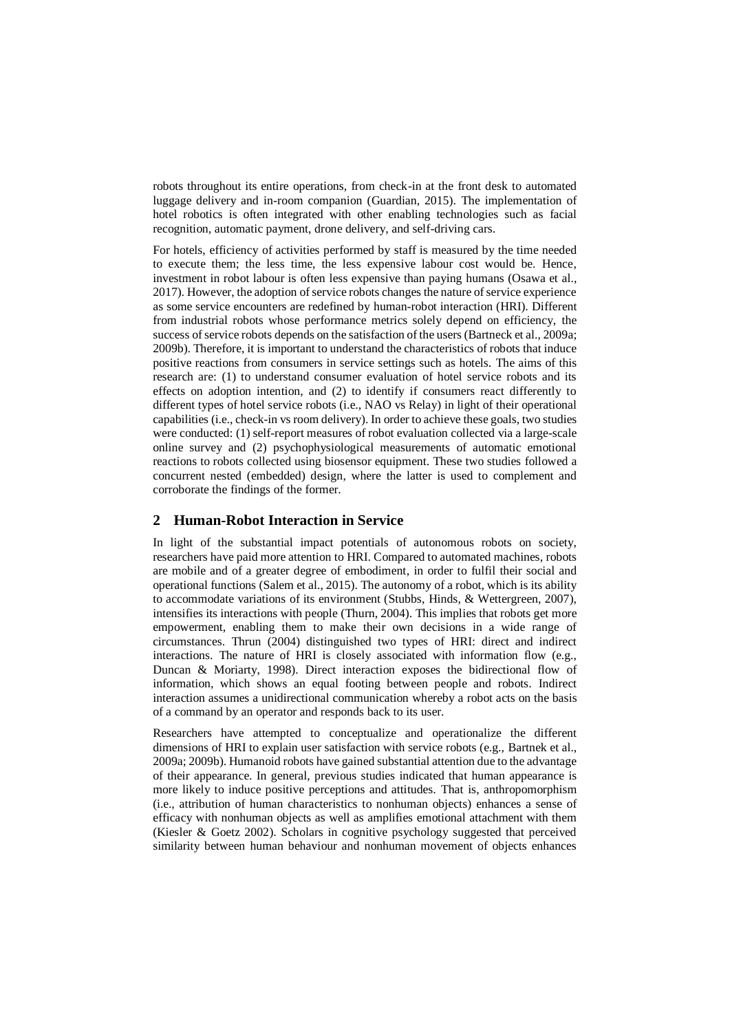robots throughout its entire operations, from check-in at the front desk to automated luggage delivery and in-room companion (Guardian, 2015). The implementation of hotel robotics is often integrated with other enabling technologies such as facial recognition, automatic payment, drone delivery, and self-driving cars.

For hotels, efficiency of activities performed by staff is measured by the time needed to execute them; the less time, the less expensive labour cost would be. Hence, investment in robot labour is often less expensive than paying humans (Osawa et al., 2017). However, the adoption of service robots changes the nature of service experience as some service encounters are redefined by human-robot interaction (HRI). Different from industrial robots whose performance metrics solely depend on efficiency, the success of service robots depends on the satisfaction of the users (Bartneck et al., 2009a; 2009b). Therefore, it is important to understand the characteristics of robots that induce positive reactions from consumers in service settings such as hotels. The aims of this research are: (1) to understand consumer evaluation of hotel service robots and its effects on adoption intention, and (2) to identify if consumers react differently to different types of hotel service robots (i.e., NAO vs Relay) in light of their operational capabilities (i.e., check-in vs room delivery). In order to achieve these goals, two studies were conducted: (1) self-report measures of robot evaluation collected via a large-scale online survey and (2) psychophysiological measurements of automatic emotional reactions to robots collected using biosensor equipment. These two studies followed a concurrent nested (embedded) design, where the latter is used to complement and corroborate the findings of the former.

## **2 Human-Robot Interaction in Service**

In light of the substantial impact potentials of autonomous robots on society, researchers have paid more attention to HRI. Compared to automated machines, robots are mobile and of a greater degree of embodiment, in order to fulfil their social and operational functions (Salem et al., 2015). The autonomy of a robot, which is its ability to accommodate variations of its environment (Stubbs, Hinds, & Wettergreen, 2007), intensifies its interactions with people (Thurn, 2004). This implies that robots get more empowerment, enabling them to make their own decisions in a wide range of circumstances. Thrun (2004) distinguished two types of HRI: direct and indirect interactions. The nature of HRI is closely associated with information flow (e.g., Duncan & Moriarty, 1998). Direct interaction exposes the bidirectional flow of information, which shows an equal footing between people and robots. Indirect interaction assumes a unidirectional communication whereby a robot acts on the basis of a command by an operator and responds back to its user.

Researchers have attempted to conceptualize and operationalize the different dimensions of HRI to explain user satisfaction with service robots (e.g., Bartnek et al., 2009a; 2009b). Humanoid robots have gained substantial attention due to the advantage of their appearance. In general, previous studies indicated that human appearance is more likely to induce positive perceptions and attitudes. That is, anthropomorphism (i.e., attribution of human characteristics to nonhuman objects) enhances a sense of efficacy with nonhuman objects as well as amplifies emotional attachment with them (Kiesler & Goetz 2002). Scholars in cognitive psychology suggested that perceived similarity between human behaviour and nonhuman movement of objects enhances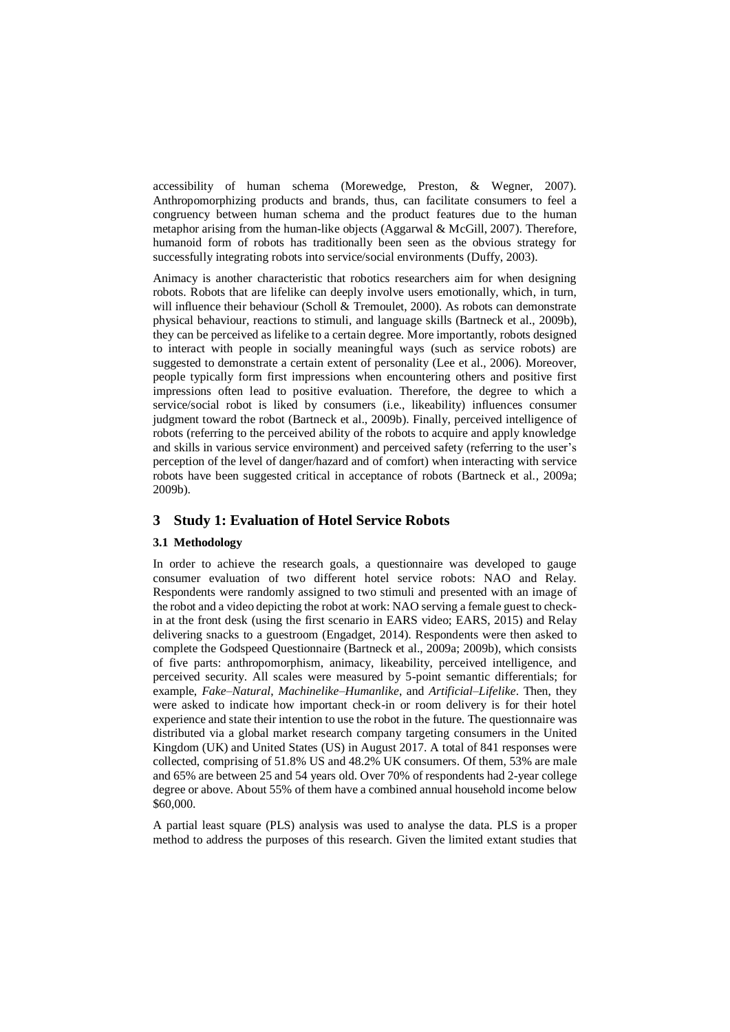accessibility of human schema (Morewedge, Preston, & Wegner, 2007). Anthropomorphizing products and brands, thus, can facilitate consumers to feel a congruency between human schema and the product features due to the human metaphor arising from the human-like objects (Aggarwal & McGill, 2007). Therefore, humanoid form of robots has traditionally been seen as the obvious strategy for successfully integrating robots into service/social environments (Duffy, 2003).

Animacy is another characteristic that robotics researchers aim for when designing robots. Robots that are lifelike can deeply involve users emotionally, which, in turn, will influence their behaviour (Scholl & Tremoulet, 2000). As robots can demonstrate physical behaviour, reactions to stimuli, and language skills (Bartneck et al., 2009b), they can be perceived as lifelike to a certain degree. More importantly, robots designed to interact with people in socially meaningful ways (such as service robots) are suggested to demonstrate a certain extent of personality (Lee et al., 2006). Moreover, people typically form first impressions when encountering others and positive first impressions often lead to positive evaluation. Therefore, the degree to which a service/social robot is liked by consumers (i.e., likeability) influences consumer judgment toward the robot (Bartneck et al., 2009b). Finally, perceived intelligence of robots (referring to the perceived ability of the robots to acquire and apply knowledge and skills in various service environment) and perceived safety (referring to the user's perception of the level of danger/hazard and of comfort) when interacting with service robots have been suggested critical in acceptance of robots (Bartneck et al., 2009a; 2009b).

## **3 Study 1: Evaluation of Hotel Service Robots**

#### **3.1 Methodology**

In order to achieve the research goals, a questionnaire was developed to gauge consumer evaluation of two different hotel service robots: NAO and Relay. Respondents were randomly assigned to two stimuli and presented with an image of the robot and a video depicting the robot at work: NAO serving a female guest to checkin at the front desk (using the first scenario in EARS video; EARS, 2015) and Relay delivering snacks to a guestroom (Engadget, 2014). Respondents were then asked to complete the Godspeed Questionnaire (Bartneck et al., 2009a; 2009b), which consists of five parts: anthropomorphism, animacy, likeability, perceived intelligence, and perceived security. All scales were measured by 5-point semantic differentials; for example, *Fake*–*Natural*, *Machinelike*–*Humanlike*, and *Artificial*–*Lifelike*. Then, they were asked to indicate how important check-in or room delivery is for their hotel experience and state their intention to use the robot in the future. The questionnaire was distributed via a global market research company targeting consumers in the United Kingdom (UK) and United States (US) in August 2017. A total of 841 responses were collected, comprising of 51.8% US and 48.2% UK consumers. Of them, 53% are male and 65% are between 25 and 54 years old. Over 70% of respondents had 2-year college degree or above. About 55% of them have a combined annual household income below \$60,000.

A partial least square (PLS) analysis was used to analyse the data. PLS is a proper method to address the purposes of this research. Given the limited extant studies that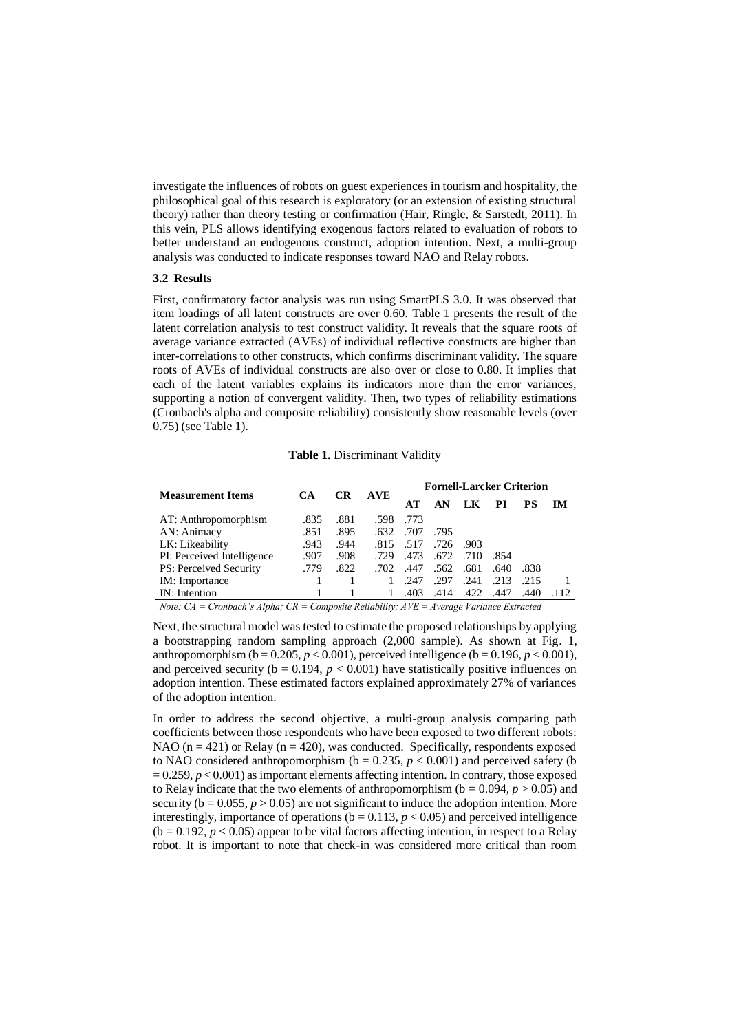investigate the influences of robots on guest experiences in tourism and hospitality, the philosophical goal of this research is exploratory (or an extension of existing structural theory) rather than theory testing or confirmation (Hair, Ringle, & Sarstedt, 2011). In this vein, PLS allows identifying exogenous factors related to evaluation of robots to better understand an endogenous construct, adoption intention. Next, a multi-group analysis was conducted to indicate responses toward NAO and Relay robots.

#### **3.2 Results**

First, confirmatory factor analysis was run using SmartPLS 3.0. It was observed that item loadings of all latent constructs are over 0.60. Table 1 presents the result of the latent correlation analysis to test construct validity. It reveals that the square roots of average variance extracted (AVEs) of individual reflective constructs are higher than inter-correlations to other constructs, which confirms discriminant validity. The square roots of AVEs of individual constructs are also over or close to 0.80. It implies that each of the latent variables explains its indicators more than the error variances, supporting a notion of convergent validity. Then, two types of reliability estimations (Cronbach's alpha and composite reliability) consistently show reasonable levels (over 0.75) (see Table 1).

**Table 1.** Discriminant Validity

| <b>Measurement Items</b>   | CА   | CR   | <b>AVE</b> | <b>Fornell-Larcker Criterion</b> |      |      |      |           |    |
|----------------------------|------|------|------------|----------------------------------|------|------|------|-----------|----|
|                            |      |      |            | AT                               | AN   | LK   | РI   | <b>PS</b> | IМ |
| AT: Anthropomorphism       | .835 | .881 | .598       | .773                             |      |      |      |           |    |
| AN: Animacy                | .851 | .895 | .632       | .707                             | .795 |      |      |           |    |
| LK: Likeability            | .943 | .944 | .815       | .517                             | .726 | -903 |      |           |    |
| PI: Perceived Intelligence | .907 | .908 | .729       | .473                             | .672 | .710 | .854 |           |    |
| PS: Perceived Security     | .779 | .822 | .702       | .447                             | .562 | .681 | .640 | .838      |    |
| IM: Importance             |      |      |            | .247                             | .297 | .241 | .213 | .215      |    |
| IN: Intention              |      |      |            | .403                             | .414 | .422 | .447 |           |    |

*Note: CA = Cronbach's Alpha; CR = Composite Reliability; AVE = Average Variance Extracted*

Next, the structural model was tested to estimate the proposed relationships by applying a bootstrapping random sampling approach (2,000 sample). As shown at Fig. 1, anthropomorphism ( $b = 0.205$ ,  $p < 0.001$ ), perceived intelligence ( $b = 0.196$ ,  $p < 0.001$ ), and perceived security ( $b = 0.194$ ,  $p < 0.001$ ) have statistically positive influences on adoption intention. These estimated factors explained approximately 27% of variances of the adoption intention.

In order to address the second objective, a multi-group analysis comparing path coefficients between those respondents who have been exposed to two different robots: NAO ( $n = 421$ ) or Relay ( $n = 420$ ), was conducted. Specifically, respondents exposed to NAO considered anthropomorphism ( $b = 0.235$ ,  $p < 0.001$ ) and perceived safety (b)  $= 0.259, p < 0.001$ ) as important elements affecting intention. In contrary, those exposed to Relay indicate that the two elements of anthropomorphism ( $b = 0.094$ ,  $p > 0.05$ ) and security ( $b = 0.055$ ,  $p > 0.05$ ) are not significant to induce the adoption intention. More interestingly, importance of operations ( $b = 0.113$ ,  $p < 0.05$ ) and perceived intelligence  $(b = 0.192, p < 0.05)$  appear to be vital factors affecting intention, in respect to a Relay robot. It is important to note that check-in was considered more critical than room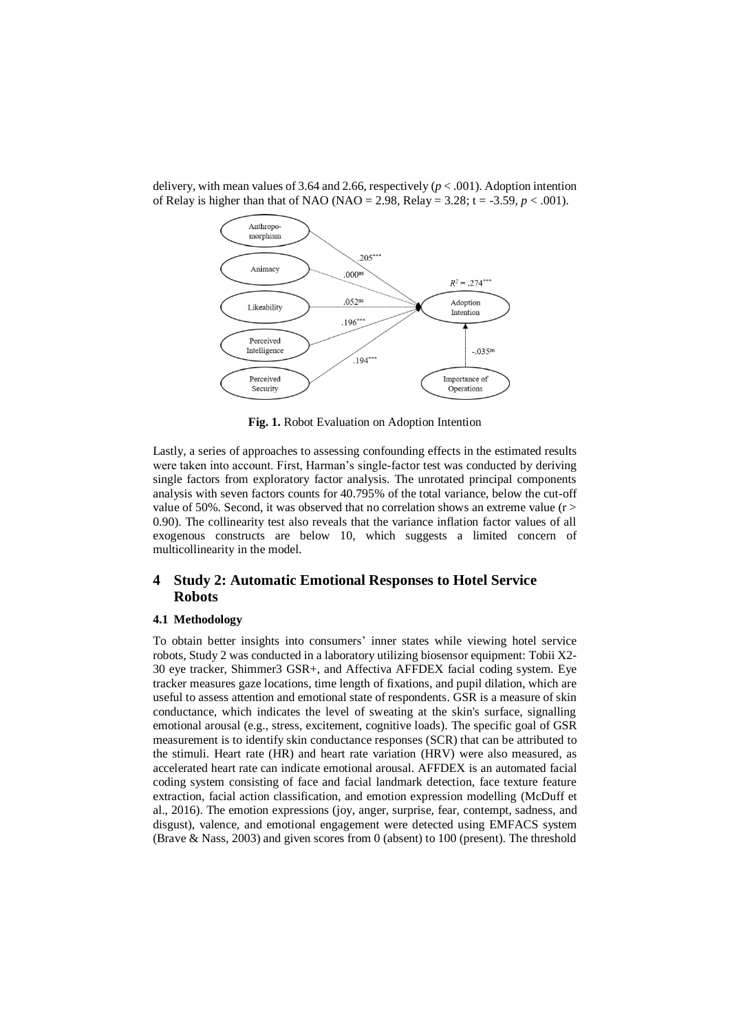

delivery, with mean values of 3.64 and 2.66, respectively  $(p < .001)$ . Adoption intention of Relay is higher than that of NAO (NAO = 2.98, Relay =  $3.28$ ; t =  $-3.59$ ,  $p < .001$ ).

**Fig. 1.** Robot Evaluation on Adoption Intention

Lastly, a series of approaches to assessing confounding effects in the estimated results were taken into account. First, Harman's single-factor test was conducted by deriving single factors from exploratory factor analysis. The unrotated principal components analysis with seven factors counts for 40.795% of the total variance, below the cut-off value of 50%. Second, it was observed that no correlation shows an extreme value ( $r$  > 0.90). The collinearity test also reveals that the variance inflation factor values of all exogenous constructs are below 10, which suggests a limited concern of multicollinearity in the model.

## **4 Study 2: Automatic Emotional Responses to Hotel Service Robots**

#### **4.1 Methodology**

To obtain better insights into consumers' inner states while viewing hotel service robots, Study 2 was conducted in a laboratory utilizing biosensor equipment: Tobii X2- 30 eye tracker, Shimmer3 GSR+, and Affectiva AFFDEX facial coding system. Eye tracker measures gaze locations, time length of fixations, and pupil dilation, which are useful to assess attention and emotional state of respondents. GSR is a measure of skin conductance, which indicates the level of sweating at the skin's surface, signalling emotional arousal (e.g., stress, excitement, cognitive loads). The specific goal of GSR measurement is to identify skin conductance responses (SCR) that can be attributed to the stimuli. Heart rate (HR) and heart rate variation (HRV) were also measured, as accelerated heart rate can indicate emotional arousal. AFFDEX is an automated facial coding system consisting of face and facial landmark detection, face texture feature extraction, facial action classification, and emotion expression modelling (McDuff et al., 2016). The emotion expressions (joy, anger, surprise, fear, contempt, sadness, and disgust), valence, and emotional engagement were detected using EMFACS system (Brave & Nass, 2003) and given scores from 0 (absent) to 100 (present). The threshold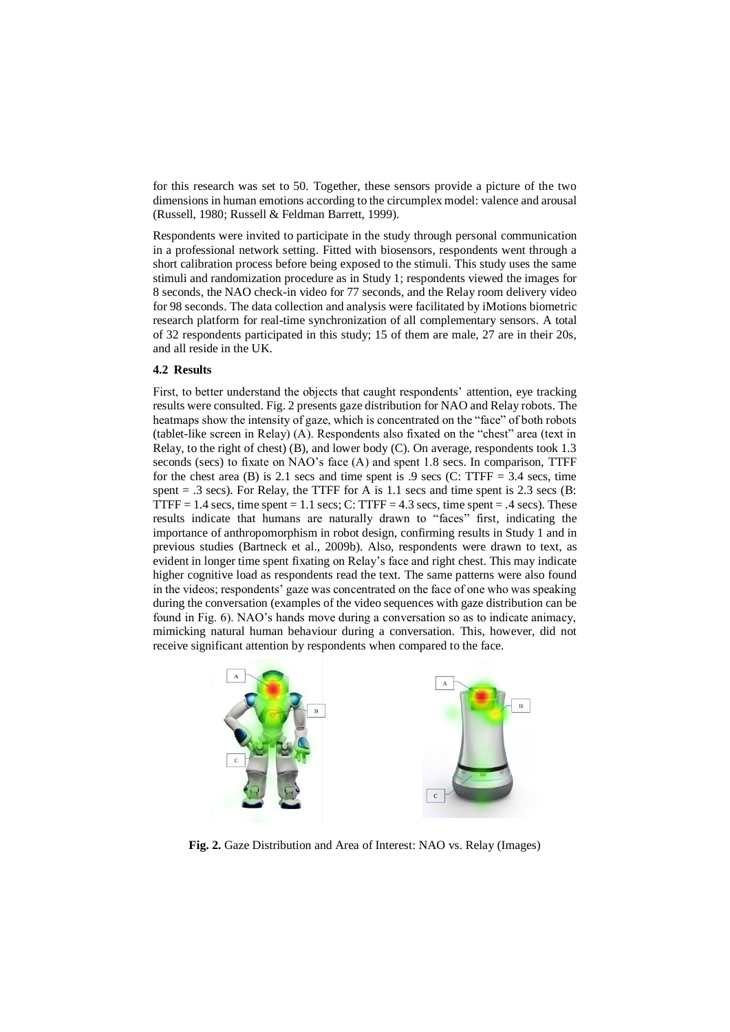for this research was set to 50. Together, these sensors provide a picture of the two dimensions in human emotions according to the circumplex model: valence and arousal (Russell, 1980; Russell & Feldman Barrett, 1999).

Respondents were invited to participate in the study through personal communication in a professional network setting. Fitted with biosensors, respondents went through a short calibration process before being exposed to the stimuli. This study uses the same stimuli and randomization procedure as in Study 1; respondents viewed the images for 8 seconds, the NAO check-in video for 77 seconds, and the Relay room delivery video for 98 seconds. The data collection and analysis were facilitated by iMotions biometric research platform for real-time synchronization of all complementary sensors. A total of 32 respondents participated in this study; 15 of them are male, 27 are in their 20s, and all reside in the UK.

## **4.2 Results**

First, to better understand the objects that caught respondents' attention, eye tracking results were consulted. Fig. 2 presents gaze distribution for NAO and Relay robots. The heatmaps show the intensity of gaze, which is concentrated on the "face" of both robots (tablet-like screen in Relay) (A). Respondents also fixated on the "chest" area (text in Relay, to the right of chest) (B), and lower body (C). On average, respondents took 1.3 seconds (secs) to fixate on NAO's face (A) and spent 1.8 secs. In comparison, TTFF for the chest area (B) is 2.1 secs and time spent is  $.9$  secs (C: TTFF = 3.4 secs, time spent  $= .3$  secs). For Relay, the TTFF for A is 1.1 secs and time spent is 2.3 secs (B: TTFF = 1.4 secs, time spent = 1.1 secs; C: TTFF = 4.3 secs, time spent = .4 secs). These results indicate that humans are naturally drawn to "faces" first, indicating the importance of anthropomorphism in robot design, confirming results in Study 1 and in previous studies (Bartneck et al., 2009b). Also, respondents were drawn to text, as evident in longer time spent fixating on Relay's face and right chest. This may indicate higher cognitive load as respondents read the text. The same patterns were also found in the videos; respondents' gaze was concentrated on the face of one who was speaking during the conversation (examples of the video sequences with gaze distribution can be found in Fig. 6). NAO's hands move during a conversation so as to indicate animacy, mimicking natural human behaviour during a conversation. This, however, did not receive significant attention by respondents when compared to the face.



**Fig. 2.** Gaze Distribution and Area of Interest: NAO vs. Relay (Images)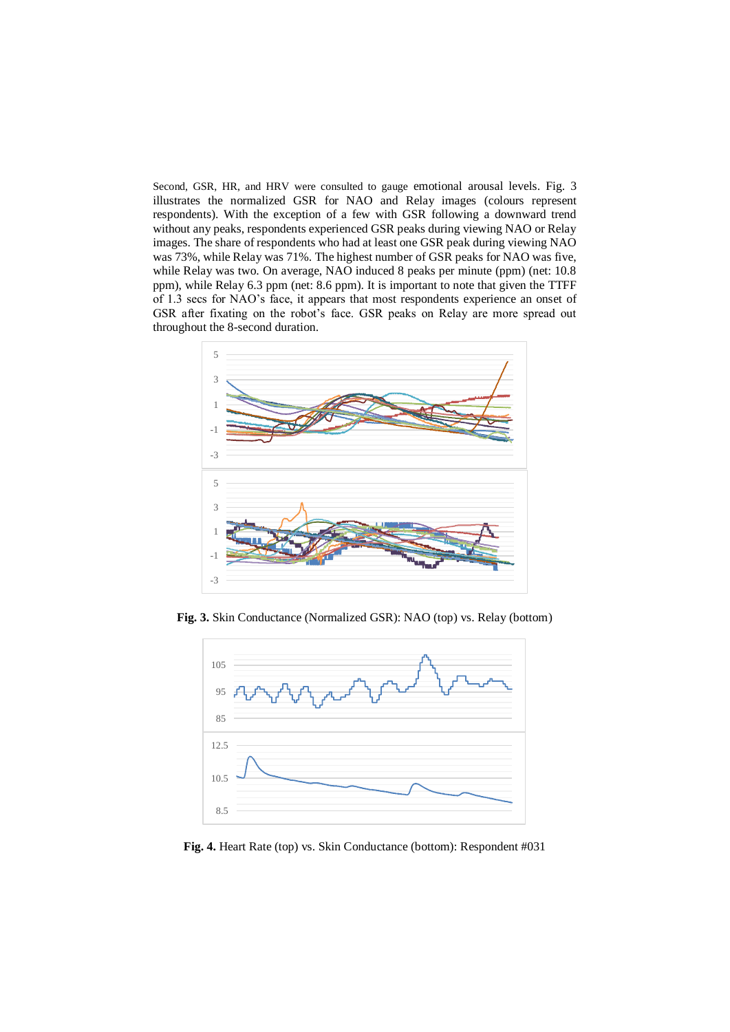Second, GSR, HR, and HRV were consulted to gauge emotional arousal levels. Fig. 3 illustrates the normalized GSR for NAO and Relay images (colours represent respondents). With the exception of a few with GSR following a downward trend without any peaks, respondents experienced GSR peaks during viewing NAO or Relay images. The share of respondents who had at least one GSR peak during viewing NAO was 73%, while Relay was 71%. The highest number of GSR peaks for NAO was five, while Relay was two. On average, NAO induced 8 peaks per minute (ppm) (net: 10.8 ppm), while Relay 6.3 ppm (net: 8.6 ppm). It is important to note that given the TTFF of 1.3 secs for NAO's face, it appears that most respondents experience an onset of GSR after fixating on the robot's face. GSR peaks on Relay are more spread out throughout the 8-second duration.



**Fig. 3.** Skin Conductance (Normalized GSR): NAO (top) vs. Relay (bottom)



**Fig. 4.** Heart Rate (top) vs. Skin Conductance (bottom): Respondent #031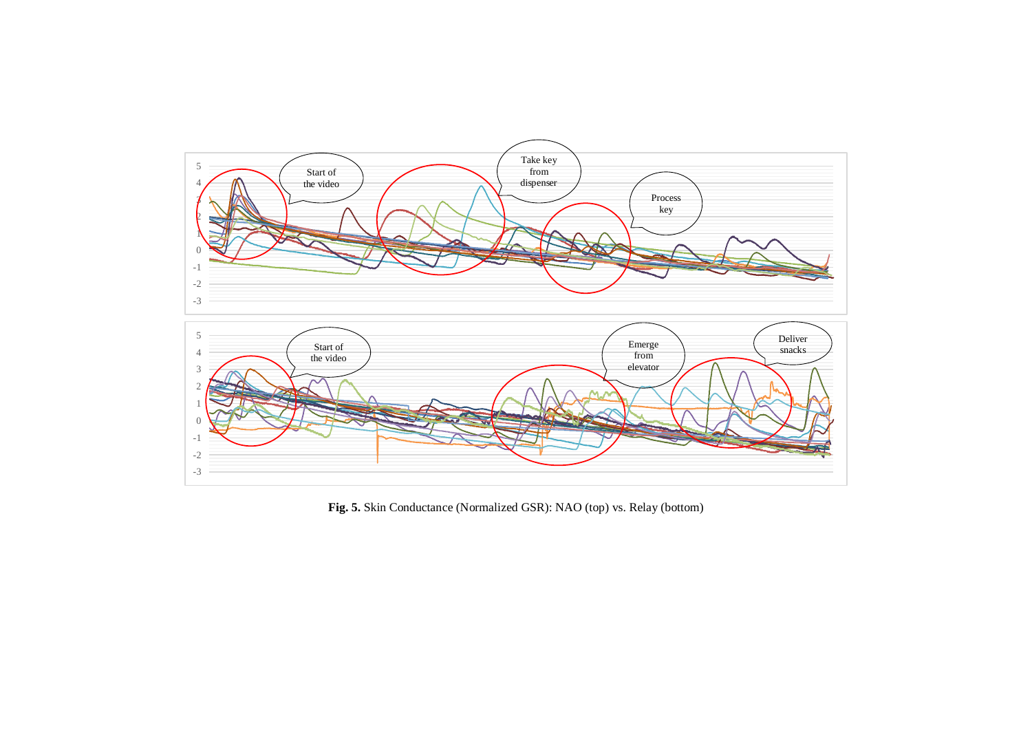

**Fig. 5.** Skin Conductance (Normalized GSR): NAO (top) vs. Relay (bottom)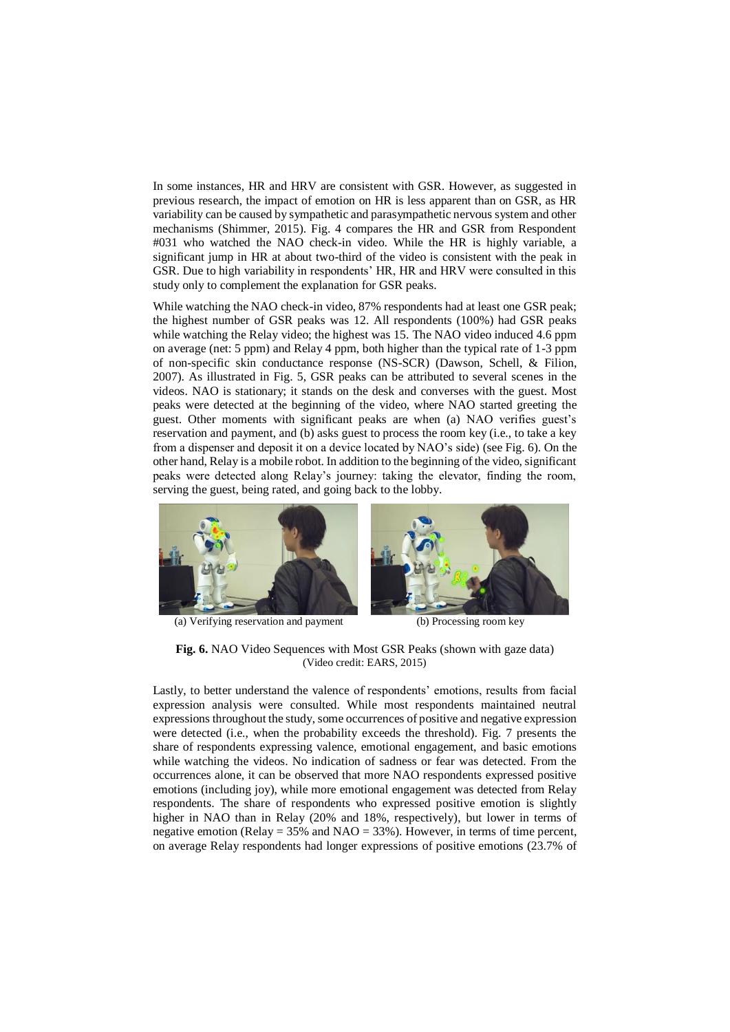In some instances, HR and HRV are consistent with GSR. However, as suggested in previous research, the impact of emotion on HR is less apparent than on GSR, as HR variability can be caused by sympathetic and parasympathetic nervous system and other mechanisms (Shimmer, 2015). Fig. 4 compares the HR and GSR from Respondent #031 who watched the NAO check-in video. While the HR is highly variable, a significant jump in HR at about two-third of the video is consistent with the peak in GSR. Due to high variability in respondents' HR, HR and HRV were consulted in this study only to complement the explanation for GSR peaks.

While watching the NAO check-in video, 87% respondents had at least one GSR peak; the highest number of GSR peaks was 12. All respondents (100%) had GSR peaks while watching the Relay video; the highest was 15. The NAO video induced 4.6 ppm on average (net: 5 ppm) and Relay 4 ppm, both higher than the typical rate of 1-3 ppm of non-specific skin conductance response (NS-SCR) (Dawson, Schell, & Filion, 2007). As illustrated in Fig. 5, GSR peaks can be attributed to several scenes in the videos. NAO is stationary; it stands on the desk and converses with the guest. Most peaks were detected at the beginning of the video, where NAO started greeting the guest. Other moments with significant peaks are when (a) NAO verifies guest's reservation and payment, and (b) asks guest to process the room key (i.e., to take a key from a dispenser and deposit it on a device located by NAO's side) (see Fig. 6). On the other hand, Relay is a mobile robot. In addition to the beginning of the video, significant peaks were detected along Relay's journey: taking the elevator, finding the room, serving the guest, being rated, and going back to the lobby.



(a) Verifying reservation and payment (b) Processing room key



**Fig. 6.** NAO Video Sequences with Most GSR Peaks (shown with gaze data) (Video credit: EARS, 2015)

Lastly, to better understand the valence of respondents' emotions, results from facial expression analysis were consulted. While most respondents maintained neutral expressions throughout the study, some occurrences of positive and negative expression were detected (i.e., when the probability exceeds the threshold). Fig. 7 presents the share of respondents expressing valence, emotional engagement, and basic emotions while watching the videos. No indication of sadness or fear was detected. From the occurrences alone, it can be observed that more NAO respondents expressed positive emotions (including joy), while more emotional engagement was detected from Relay respondents. The share of respondents who expressed positive emotion is slightly higher in NAO than in Relay (20% and 18%, respectively), but lower in terms of negative emotion (Relay =  $35\%$  and NAO =  $33\%$ ). However, in terms of time percent, on average Relay respondents had longer expressions of positive emotions (23.7% of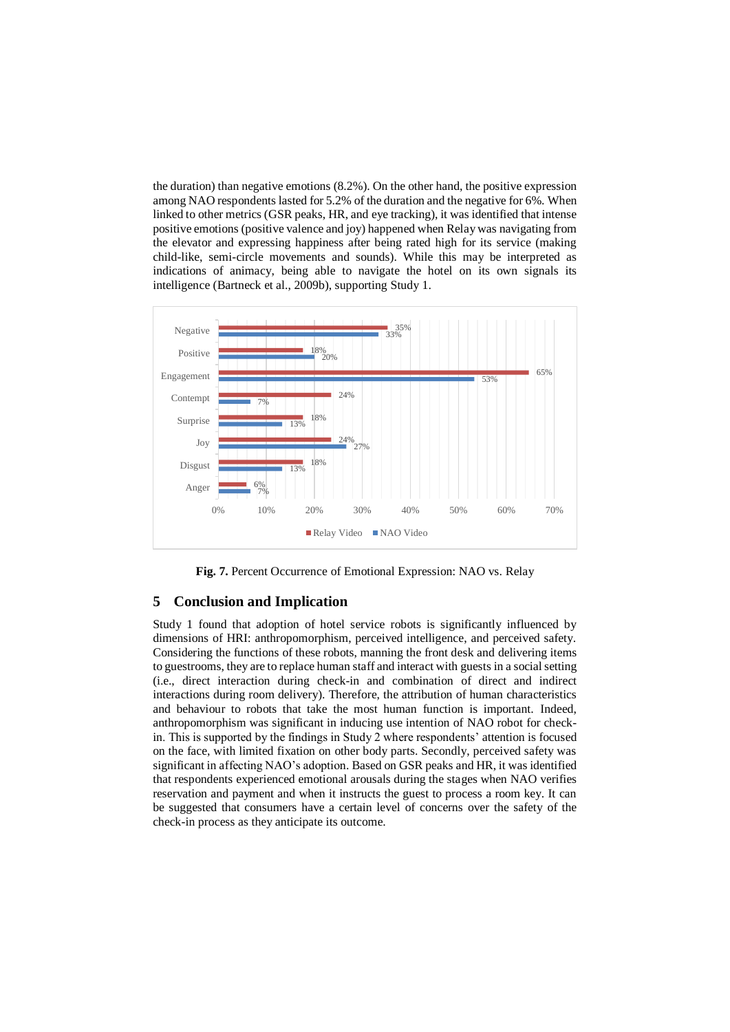the duration) than negative emotions (8.2%). On the other hand, the positive expression among NAO respondents lasted for 5.2% of the duration and the negative for 6%. When linked to other metrics (GSR peaks, HR, and eye tracking), it was identified that intense positive emotions (positive valence and joy) happened when Relay was navigating from the elevator and expressing happiness after being rated high for its service (making child-like, semi-circle movements and sounds). While this may be interpreted as indications of animacy, being able to navigate the hotel on its own signals its intelligence (Bartneck et al., 2009b), supporting Study 1.



**Fig. 7.** Percent Occurrence of Emotional Expression: NAO vs. Relay

#### **5 Conclusion and Implication**

Study 1 found that adoption of hotel service robots is significantly influenced by dimensions of HRI: anthropomorphism, perceived intelligence, and perceived safety. Considering the functions of these robots, manning the front desk and delivering items to guestrooms, they are to replace human staff and interact with guests in a social setting (i.e., direct interaction during check-in and combination of direct and indirect interactions during room delivery). Therefore, the attribution of human characteristics and behaviour to robots that take the most human function is important. Indeed, anthropomorphism was significant in inducing use intention of NAO robot for checkin. This is supported by the findings in Study 2 where respondents' attention is focused on the face, with limited fixation on other body parts. Secondly, perceived safety was significant in affecting NAO's adoption. Based on GSR peaks and HR, it was identified that respondents experienced emotional arousals during the stages when NAO verifies reservation and payment and when it instructs the guest to process a room key. It can be suggested that consumers have a certain level of concerns over the safety of the check-in process as they anticipate its outcome.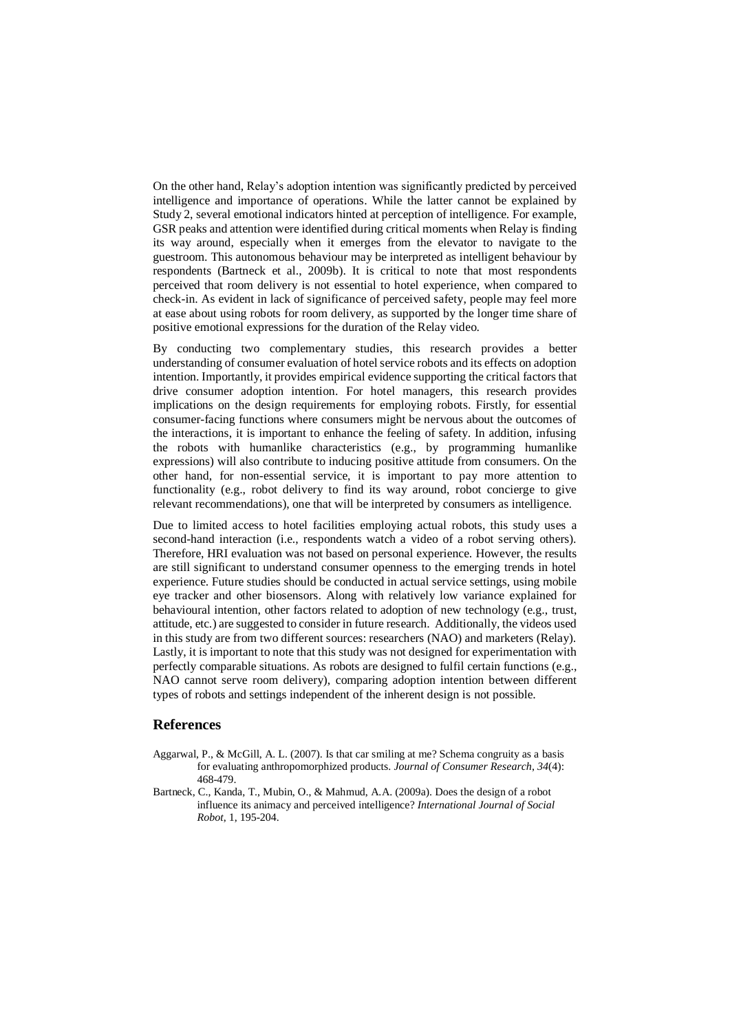On the other hand, Relay's adoption intention was significantly predicted by perceived intelligence and importance of operations. While the latter cannot be explained by Study 2, several emotional indicators hinted at perception of intelligence. For example, GSR peaks and attention were identified during critical moments when Relay is finding its way around, especially when it emerges from the elevator to navigate to the guestroom. This autonomous behaviour may be interpreted as intelligent behaviour by respondents (Bartneck et al., 2009b). It is critical to note that most respondents perceived that room delivery is not essential to hotel experience, when compared to check-in. As evident in lack of significance of perceived safety, people may feel more at ease about using robots for room delivery, as supported by the longer time share of positive emotional expressions for the duration of the Relay video.

By conducting two complementary studies, this research provides a better understanding of consumer evaluation of hotel service robots and its effects on adoption intention. Importantly, it provides empirical evidence supporting the critical factors that drive consumer adoption intention. For hotel managers, this research provides implications on the design requirements for employing robots. Firstly, for essential consumer-facing functions where consumers might be nervous about the outcomes of the interactions, it is important to enhance the feeling of safety. In addition, infusing the robots with humanlike characteristics (e.g., by programming humanlike expressions) will also contribute to inducing positive attitude from consumers. On the other hand, for non-essential service, it is important to pay more attention to functionality (e.g., robot delivery to find its way around, robot concierge to give relevant recommendations), one that will be interpreted by consumers as intelligence.

Due to limited access to hotel facilities employing actual robots, this study uses a second-hand interaction (i.e., respondents watch a video of a robot serving others). Therefore, HRI evaluation was not based on personal experience. However, the results are still significant to understand consumer openness to the emerging trends in hotel experience. Future studies should be conducted in actual service settings, using mobile eye tracker and other biosensors. Along with relatively low variance explained for behavioural intention, other factors related to adoption of new technology (e.g., trust, attitude, etc.) are suggested to consider in future research. Additionally, the videos used in this study are from two different sources: researchers (NAO) and marketers (Relay). Lastly, it is important to note that this study was not designed for experimentation with perfectly comparable situations. As robots are designed to fulfil certain functions (e.g., NAO cannot serve room delivery), comparing adoption intention between different types of robots and settings independent of the inherent design is not possible.

### **References**

- Aggarwal, P., & McGill, A. L. (2007). Is that car smiling at me? Schema congruity as a basis for evaluating anthropomorphized products. *Journal of Consumer Research*, *34*(4): 468-479.
- Bartneck, C., Kanda, T., Mubin, O., & Mahmud, A.A. (2009a). Does the design of a robot influence its animacy and perceived intelligence? *International Journal of Social Robot*, 1, 195-204.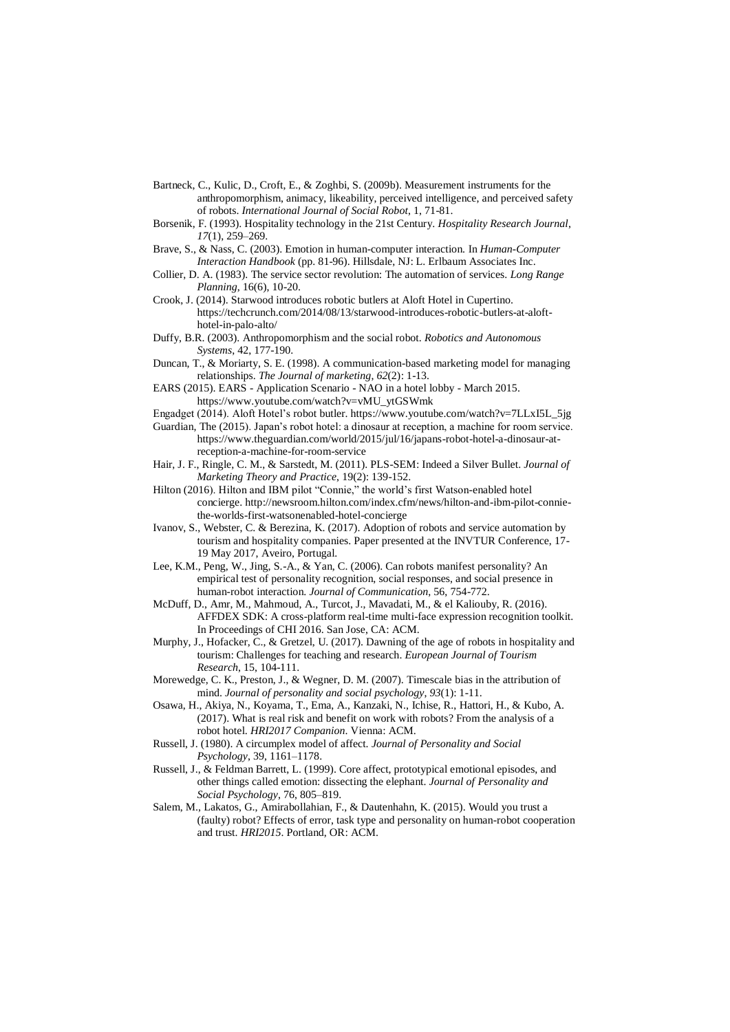- Bartneck, C., Kulic, D., Croft, E., & Zoghbi, S. (2009b). Measurement instruments for the anthropomorphism, animacy, likeability, perceived intelligence, and perceived safety of robots. *International Journal of Social Robot*, 1, 71-81.
- Borsenik, F. (1993). Hospitality technology in the 21st Century. *Hospitality Research Journal*, *17*(1), 259–269.
- Brave, S., & Nass, C. (2003). Emotion in human-computer interaction. In *Human-Computer Interaction Handbook* (pp. 81-96). Hillsdale, NJ: L. Erlbaum Associates Inc.
- Collier, D. A. (1983). The service sector revolution: The automation of services. *Long Range Planning*, 16(6), 10-20.
- Crook, J. (2014). Starwood introduces robotic butlers at Aloft Hotel in Cupertino. https://techcrunch.com/2014/08/13/starwood-introduces-robotic-butlers-at-alofthotel-in-palo-alto/
- Duffy, B.R. (2003). Anthropomorphism and the social robot. *Robotics and Autonomous Systems*, 42, 177-190.
- Duncan, T., & Moriarty, S. E. (1998). A communication-based marketing model for managing relationships. *The Journal of marketing*, *62*(2): 1-13.
- EARS (2015). EARS Application Scenario NAO in a hotel lobby March 2015. https://www.youtube.com/watch?v=vMU\_ytGSWmk
- Engadget (2014). Aloft Hotel's robot butler. https://www.youtube.com/watch?v=7LLxI5L\_5jg
- Guardian, The (2015). Japan's robot hotel: a dinosaur at reception, a machine for room service. https://www.theguardian.com/world/2015/jul/16/japans-robot-hotel-a-dinosaur-atreception-a-machine-for-room-service
- Hair, J. F., Ringle, C. M., & Sarstedt, M. (2011). PLS-SEM: Indeed a Silver Bullet. *Journal of Marketing Theory and Practice*, 19(2): 139-152.
- Hilton (2016). Hilton and IBM pilot "Connie," the world's first Watson-enabled hotel concierge. http://newsroom.hilton.com/index.cfm/news/hilton-and-ibm-pilot-conniethe-worlds-first-watsonenabled-hotel-concierge
- Ivanov, S., Webster, C. & Berezina, K. (2017). Adoption of robots and service automation by tourism and hospitality companies. Paper presented at the INVTUR Conference, 17- 19 May 2017, Aveiro, Portugal.
- Lee, K.M., Peng, W., Jing, S.-A., & Yan, C. (2006). Can robots manifest personality? An empirical test of personality recognition, social responses, and social presence in human-robot interaction. *Journal of Communication*, 56, 754-772.
- McDuff, D., Amr, M., Mahmoud, A., Turcot, J., Mavadati, M., & el Kaliouby, R. (2016). AFFDEX SDK: A cross-platform real-time multi-face expression recognition toolkit. In Proceedings of CHI 2016. San Jose, CA: ACM.
- Murphy, J., Hofacker, C., & Gretzel, U. (2017). Dawning of the age of robots in hospitality and tourism: Challenges for teaching and research. *European Journal of Tourism Research*, 15, 104-111.
- Morewedge, C. K., Preston, J., & Wegner, D. M. (2007). Timescale bias in the attribution of mind. *Journal of personality and social psychology*, *93*(1): 1-11.
- Osawa, H., Akiya, N., Koyama, T., Ema, A., Kanzaki, N., Ichise, R., Hattori, H., & Kubo, A. (2017). What is real risk and benefit on work with robots? From the analysis of a robot hotel. *HRI2017 Companion*. Vienna: ACM.
- Russell, J. (1980). A circumplex model of affect. *Journal of Personality and Social Psychology*, 39, 1161–1178.
- Russell, J., & Feldman Barrett, L. (1999). Core affect, prototypical emotional episodes, and other things called emotion: dissecting the elephant. *Journal of Personality and Social Psychology*, 76, 805–819.
- Salem, M., Lakatos, G., Amirabollahian, F., & Dautenhahn, K. (2015). Would you trust a (faulty) robot? Effects of error, task type and personality on human-robot cooperation and trust. *HRI2015*. Portland, OR: ACM.